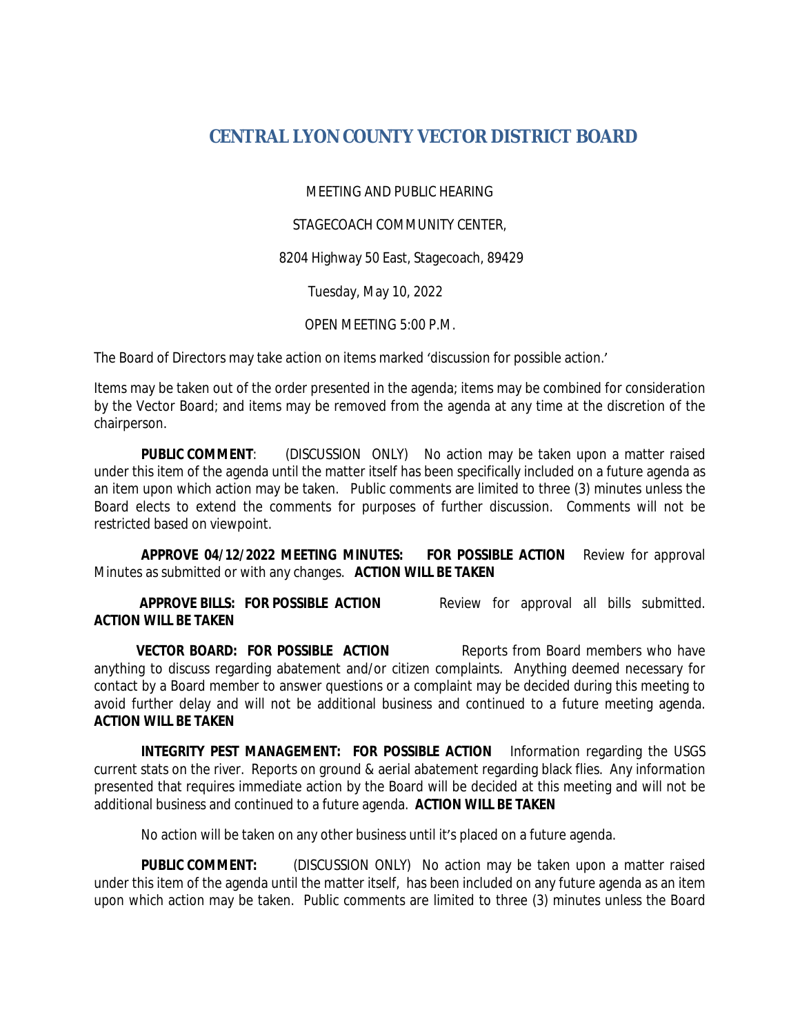## **CENTRAL LYON COUNTY VECTOR DISTRICT BOARD**

MEETING AND PUBLIC HEARING

STAGECOACH COMMUNITY CENTER,

8204 Highway 50 East, Stagecoach, 89429

Tuesday, May 10, 2022

OPEN MEETING 5:00 P.M.

The Board of Directors may take action on items marked 'discussion for possible action.'

Items may be taken out of the order presented in the agenda; items may be combined for consideration by the Vector Board; and items may be removed from the agenda at any time at the discretion of the chairperson.

**PUBLIC COMMENT**: (DISCUSSION ONLY) No action may be taken upon a matter raised under this item of the agenda until the matter itself has been specifically included on a future agenda as an item upon which action may be taken. Public comments are limited to three (3) minutes unless the Board elects to extend the comments for purposes of further discussion. Comments will not be restricted based on viewpoint.

**APPROVE 04/12/2022 MEETING MINUTES: FOR POSSIBLE ACTION** Review for approval Minutes as submitted or with any changes. **ACTION WILL BE TAKEN**

 **APPROVE BILLS: FOR POSSIBLE ACTION** Review for approval all bills submitted. **ACTION WILL BE TAKEN**

**VECTOR BOARD: FOR POSSIBLE ACTION** Reports from Board members who have anything to discuss regarding abatement and/or citizen complaints. Anything deemed necessary for contact by a Board member to answer questions or a complaint may be decided during this meeting to avoid further delay and will not be additional business and continued to a future meeting agenda. **ACTION WILL BE TAKEN**

**INTEGRITY PEST MANAGEMENT: FOR POSSIBLE ACTION** Information regarding the USGS current stats on the river. Reports on ground & aerial abatement regarding black flies. Any information presented that requires immediate action by the Board will be decided at this meeting and will not be additional business and continued to a future agenda. **ACTION WILL BE TAKEN**

No action will be taken on any other business until it's placed on a future agenda.

**PUBLIC COMMENT:** (DISCUSSION ONLY) No action may be taken upon a matter raised under this item of the agenda until the matter itself, has been included on any future agenda as an item upon which action may be taken. Public comments are limited to three (3) minutes unless the Board